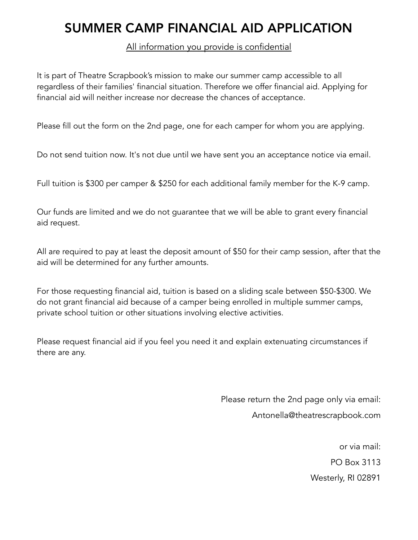## SUMMER CAMP FINANCIAL AID APPLICATION

## All information you provide is confidential

It is part of Theatre Scrapbook's mission to make our summer camp accessible to all regardless of their families' financial situation. Therefore we offer financial aid. Applying for financial aid will neither increase nor decrease the chances of acceptance.

Please fill out the form on the 2nd page, one for each camper for whom you are applying.

Do not send tuition now. It's not due until we have sent you an acceptance notice via email.

Full tuition is \$300 per camper & \$250 for each additional family member for the K-9 camp.

Our funds are limited and we do not guarantee that we will be able to grant every financial aid request.

All are required to pay at least the deposit amount of \$50 for their camp session, after that the aid will be determined for any further amounts.

For those requesting financial aid, tuition is based on a sliding scale between \$50-\$300. We do not grant financial aid because of a camper being enrolled in multiple summer camps, private school tuition or other situations involving elective activities.

Please request financial aid if you feel you need it and explain extenuating circumstances if there are any.

> Please return the 2nd page only via email: Antonella@theatrescrapbook.com

> > or via mail: PO Box 3113 Westerly, RI 02891